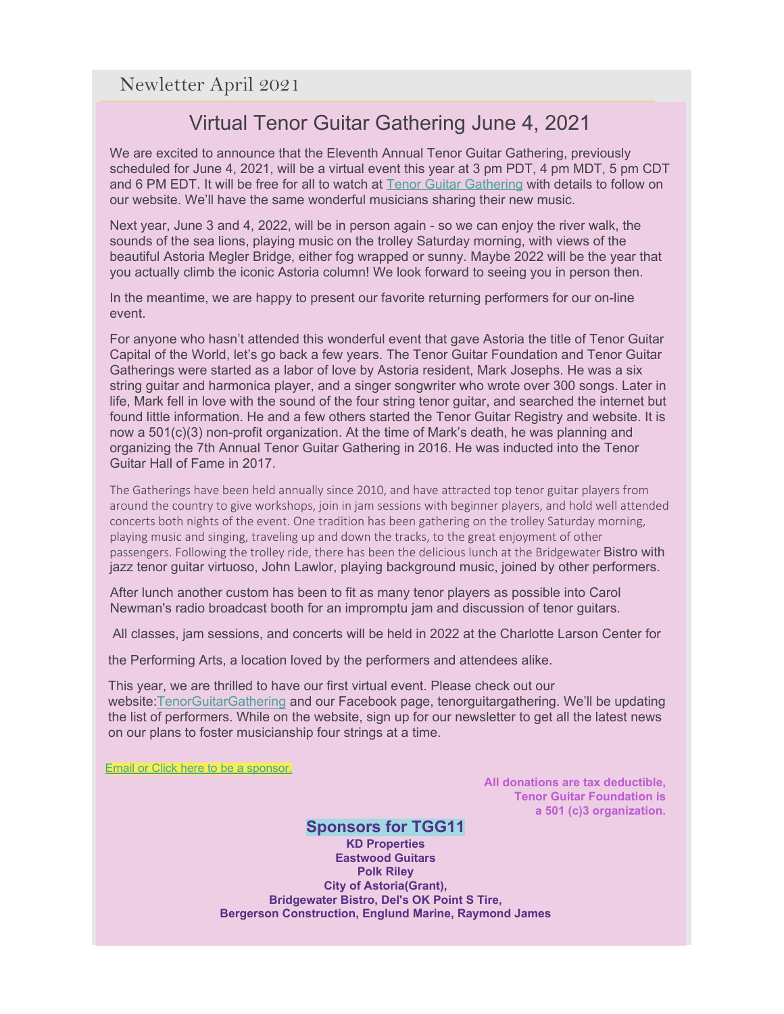## Virtual Tenor Guitar Gathering June 4, 2021

We are excited to announce that the Eleventh Annual Tenor Guitar Gathering, previously scheduled for June 4, 2021, will be a virtual event this year at 3 pm PDT, 4 pm MDT, 5 pm CDT and 6 PM EDT. It will be free for all to watch at **[Tenor Guitar Gathering](http://r20.rs6.net/tn.jsp?f=001-PGZgUpeUUYSK6yVmoea9w9cJ_IIGUSNEmBgJ9Oz-Pj4fB42C-Z0DeK9DVXVu_my0TiM4J20DH4OgN8dcu8UIWBuswBh3KjM5DvwcdeUQsm26w4s4QxpIC9AKpnYgMIzth8zpLpFbM0CawcuzzQHqlEKHhYMGG0l&c=ZnaBcFjzUOYAz61ZwWt53ELq71trisPE6BeGsLkL2YYLw9OzBTBdvQ==&ch=k4gIsc5c7CNu4Jjf6p790cGAhVC3FdFf3xyUw9eXp-PByKL4l8h87Q==) with details to follow** on our website. We'll have the same wonderful musicians sharing their new music.

Next year, June 3 and 4, 2022, will be in person again - so we can enjoy the river walk, the sounds of the sea lions, playing music on the trolley Saturday morning, with views of the beautiful Astoria Megler Bridge, either fog wrapped or sunny. Maybe 2022 will be the year that you actually climb the iconic Astoria column! We look forward to seeing you in person then.

In the meantime, we are happy to present our favorite returning performers for our on-line event.

For anyone who hasn't attended this wonderful event that gave Astoria the title of Tenor Guitar Capital of the World, let's go back a few years. The Tenor Guitar Foundation and Tenor Guitar Gatherings were started as a labor of love by Astoria resident, Mark Josephs. He was a six string guitar and harmonica player, and a singer songwriter who wrote over 300 songs. Later in life, Mark fell in love with the sound of the four string tenor guitar, and searched the internet but found little information. He and a few others started the Tenor Guitar Registry and website. It is now a 501(c)(3) non-profit organization. At the time of Mark's death, he was planning and organizing the 7th Annual Tenor Guitar Gathering in 2016. He was inducted into the Tenor Guitar Hall of Fame in 2017.

The Gatherings have been held annually since 2010, and have attracted top tenor guitar players from around the country to give workshops, join in jam sessions with beginner players, and hold well attended concerts both nights of the event. One tradition has been gathering on the trolley Saturday morning, playing music and singing, traveling up and down the tracks, to the great enjoyment of other passengers. Following the trolley ride, there has been the delicious lunch at the Bridgewater Bistro with jazz tenor guitar virtuoso, John Lawlor, playing background music, joined by other performers.

After lunch another custom has been to fit as many tenor players as possible into Carol Newman's radio broadcast booth for an impromptu jam and discussion of tenor guitars.

All classes, jam sessions, and concerts will be held in 2022 at the Charlotte Larson Center for

the Performing Arts, a location loved by the performers and attendees alike.

This year, we are thrilled to have our first virtual event. Please check out our website:TenorGuitarGathering and our Facebook page, tenorguitargathering. We'll be updating the list of performers. While on the website, sign up for our newsletter to get all the latest news on our plans to foster musicianship four strings at a time.

Email or Click here to be a sponsor.

**All donations are tax deductible, Tenor Guitar Foundation is a 501 (c)3 organization.**

## **Sponsors for TGG11**

**KD Properties Eastwood Guitars Polk Riley City of Astoria(Grant), Bridgewater Bistro, Del's OK Point S Tire, Bergerson Construction, Englund Marine, Raymond James**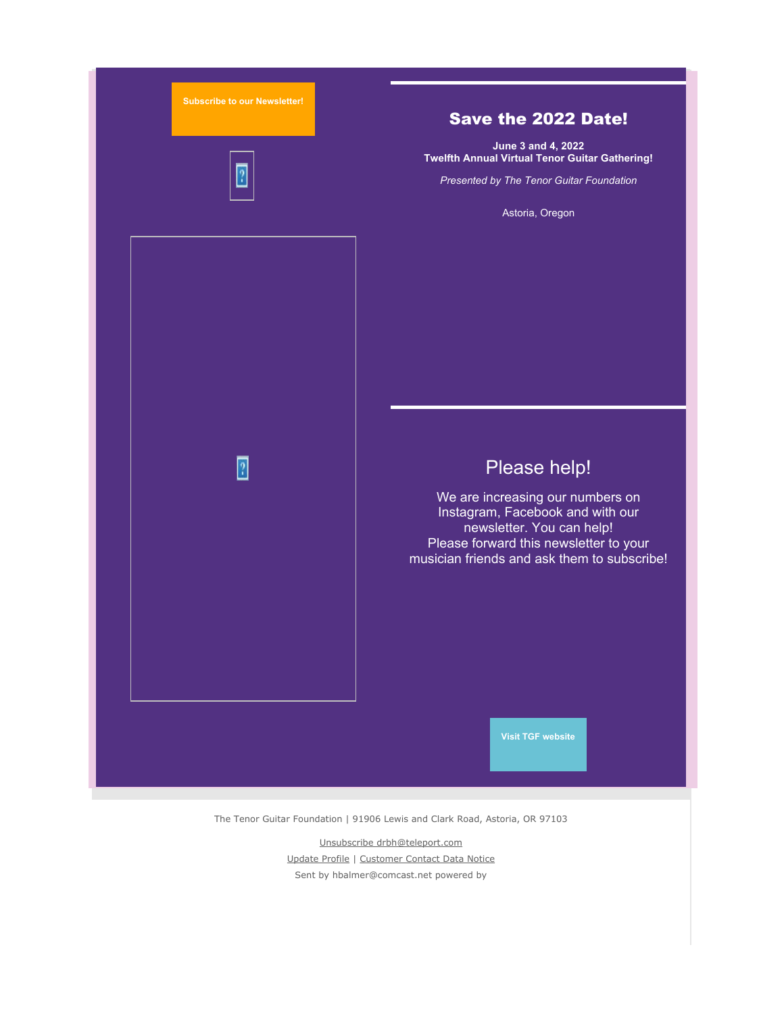

The Tenor Guitar Foundation | 91906 Lewis and Clark Road, Astoria, OR 97103

[Unsubscribe drbh@teleport.com](https://visitor.constantcontact.com/do?p=un&m=001NhrX1yOpEoXdodFW0EFtFA%3D&ch=2722923a-5586-11e9-a896-d4ae528440e0&ca=73100033-5720-4cf4-b836-559f7d8190db) [Update Profile](https://visitor.constantcontact.com/do?p=oo&m=001NhrX1yOpEoXdodFW0EFtFA%3D&ch=2722923a-5586-11e9-a896-d4ae528440e0&ca=73100033-5720-4cf4-b836-559f7d8190db) | [Customer Contact Data Notice](https://www.constantcontact.com/legal/customer-contact-data-notice) Sent by [hbalmer@comcast.net](mailto:hbalmer@comcast.net) powered by